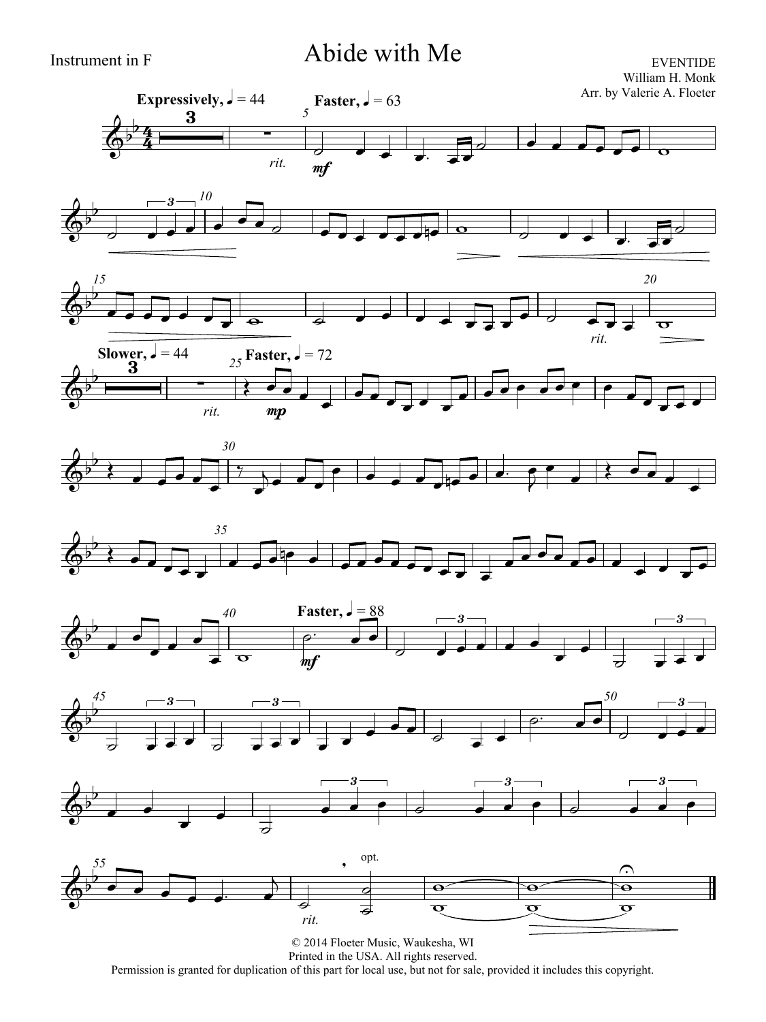### Instrument in F Abide with Me

EVENTIDE











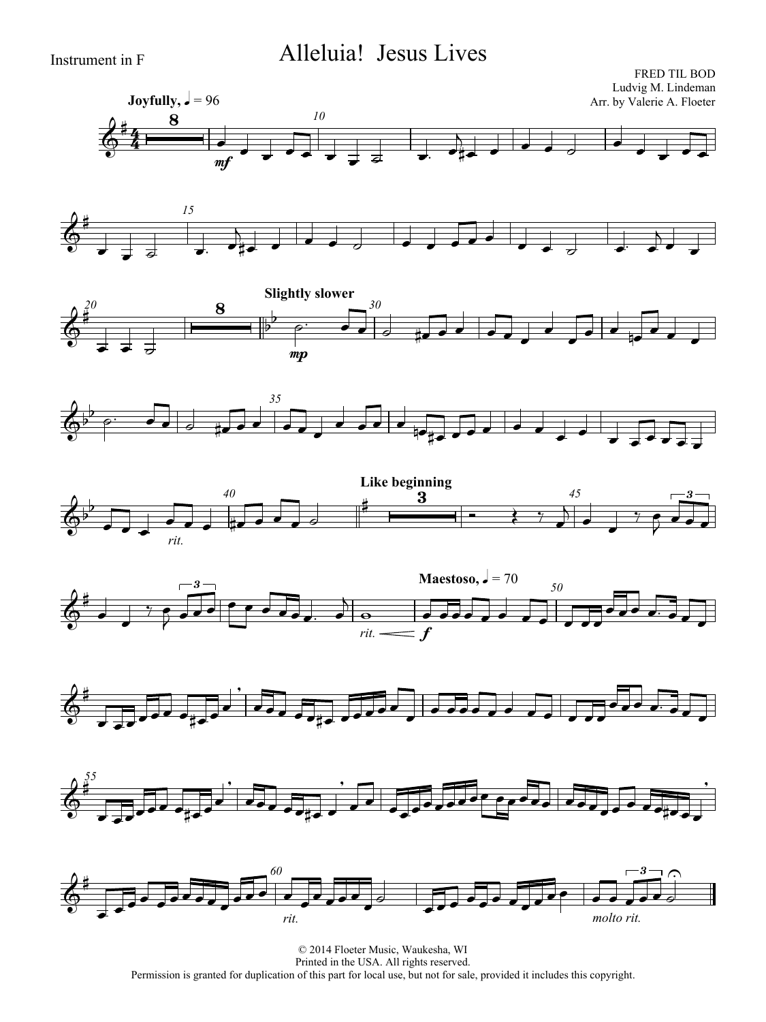## Instrument in F Alleluia! Jesus Lives

















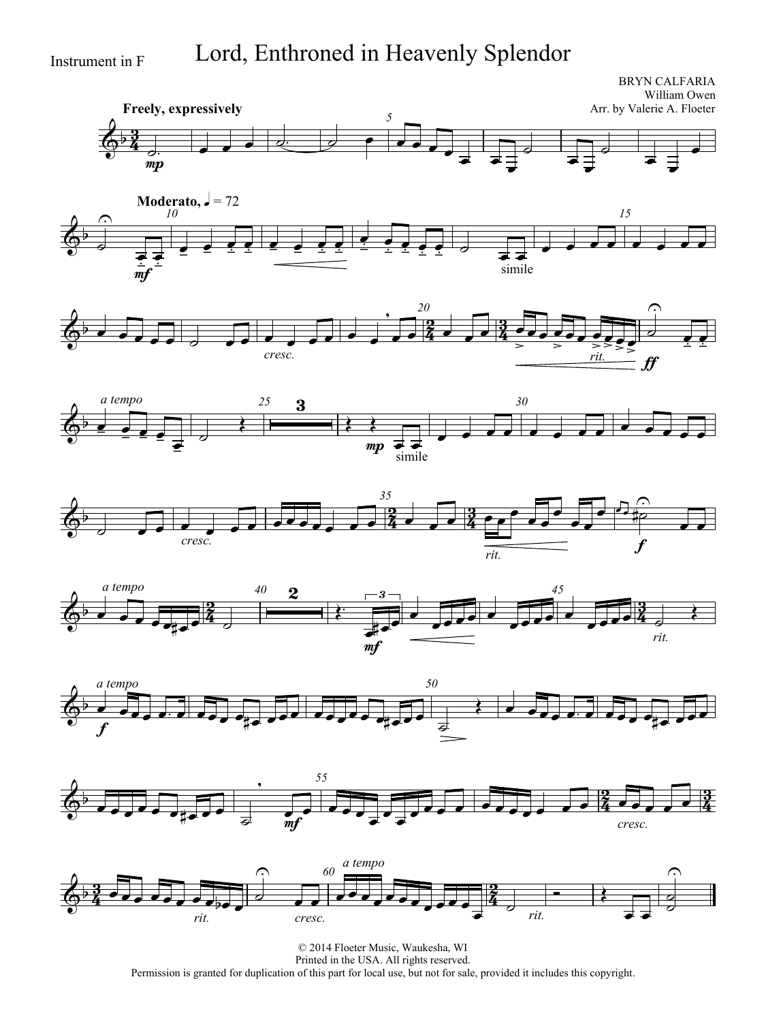## Instrument in F Lord, Enthroned in Heavenly Splendor

<u>3</u>  $\frac{3}{4}$ **Freely, expressively** BRYN CALFARIA William Owen Arr. by Valerie A. Floeter *5*  $\overline{\Phi^{\flat}}$ mp  $\frac{1}{2}$  ,  $\frac{1}{2}$  ,  $\frac{1}{2}$  ,  $\frac{1}{2}$  ,  $\frac{1}{2}$  ,  $\frac{1}{2}$  ,  $\frac{1}{2}$  $\overrightarrow{=}$  $\overline{\phantom{0}}$  $\overline{\mathcal{L}}$  $\overline{\phantom{0}}$  $\overline{\phantom{0}}$  $\overline{\phantom{a}}$  $\overline{\phantom{a}}$  $\overline{\phantom{0}}$  $\overline{\phantom{a}}$ 















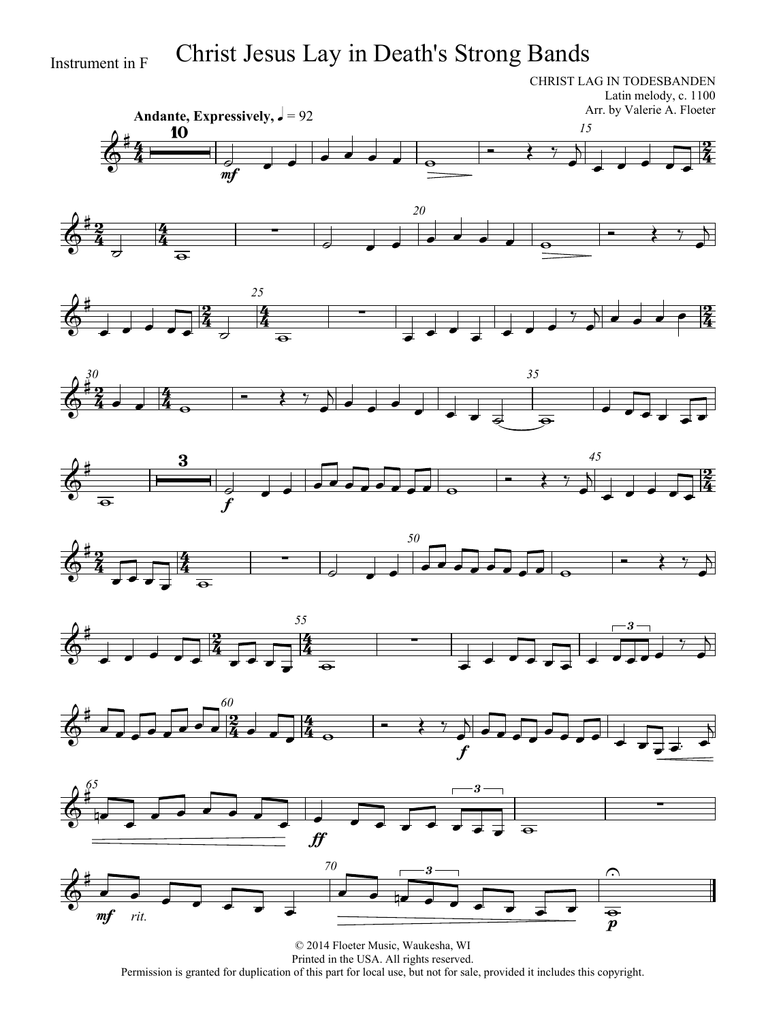# Instrument in F Christ Jesus Lay in Death's Strong Bands

CHRIST LAG IN TODESBANDEN Latin melody, c. 1100 Arr. by Valerie A. Floeter



















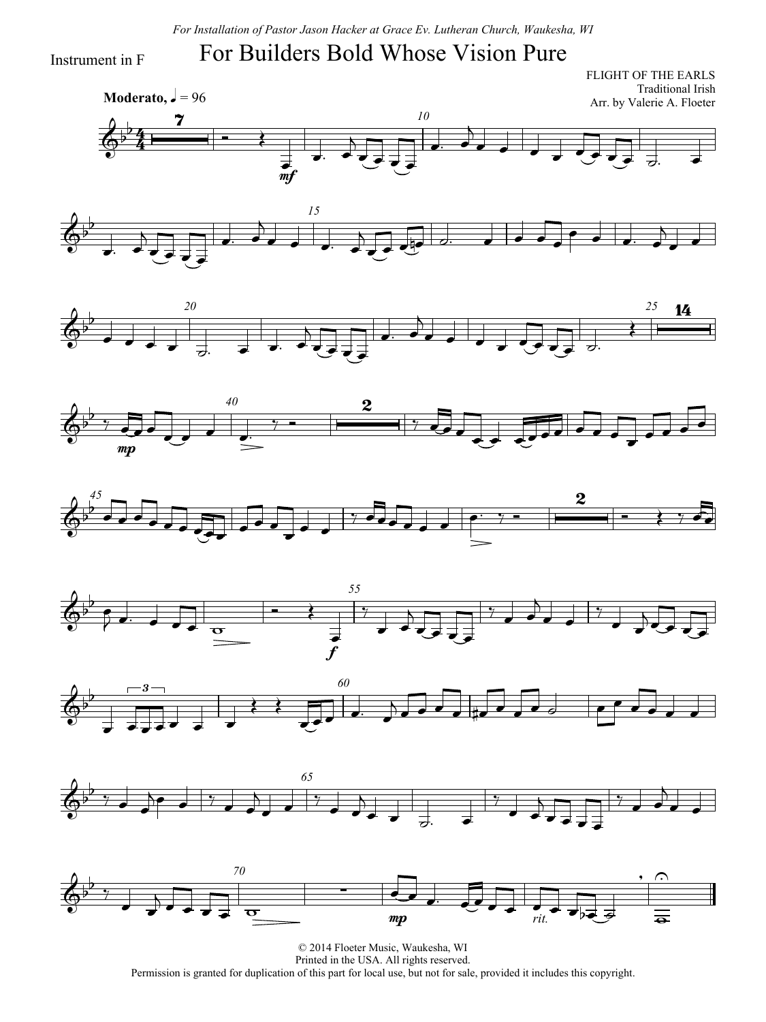## For Builders Bold Whose Vision Pure

Instrument in F

4  $\frac{4}{4}$ **Moderato,**  $\sqrt{ } = 96$ FLIGHT OF THE EARLS Traditional Irish Arr. by Valerie A. Floeter *10*  $\overline{\mathbb{Q}^{\flat}}$  $\frac{7}{4}$  $\overrightarrow{ }$ ー<br>mf  $\overline{v}$ .  $\overline{\phantom{0}}$  $\overrightarrow{=}$  $\overline{\phantom{a}}$  $\overline{a}$  $\overrightarrow{a}$ 















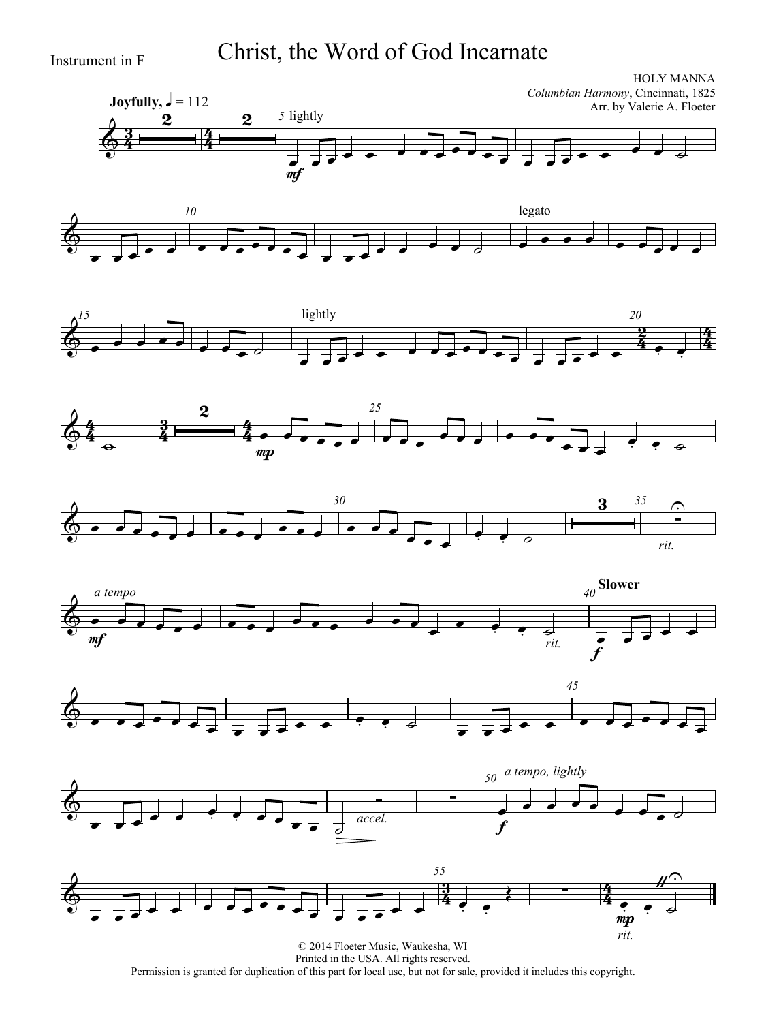# Instrument in F Christ, the Word of God Incarnate

















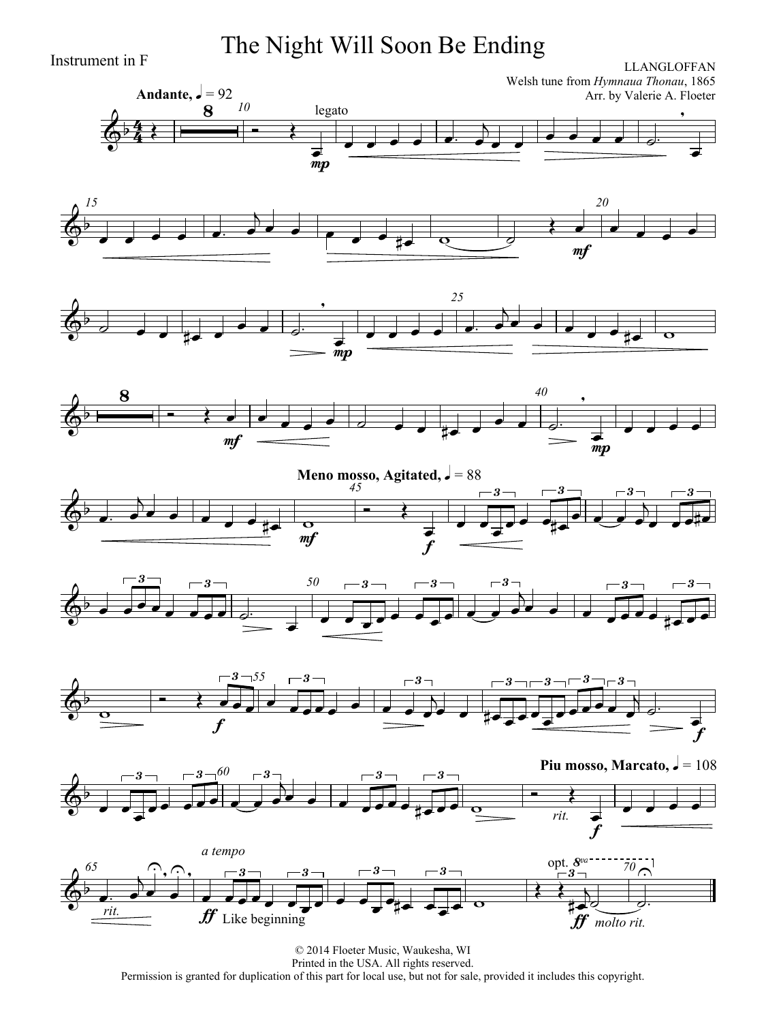Instrument in F **The Night Will Soon Be Ending**